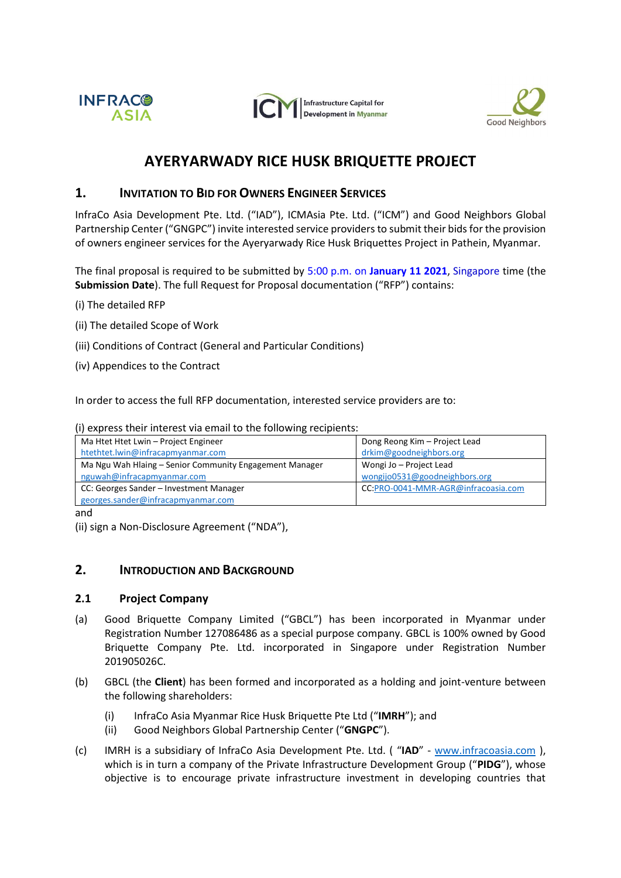





# **AYERYARWADY RICE HUSK BRIQUETTE PROJECT**

## **1. INVITATION TO BID FOR OWNERS ENGINEER SERVICES**

InfraCo Asia Development Pte. Ltd. ("IAD"), ICMAsia Pte. Ltd. ("ICM") and Good Neighbors Global Partnership Center ("GNGPC") invite interested service providers to submit their bids for the provision of owners engineer services for the Ayeryarwady Rice Husk Briquettes Project in Pathein, Myanmar.

The final proposal is required to be submitted by 5:00 p.m. on **January 11 2021**, Singapore time (the **Submission Date**). The full Request for Proposal documentation ("RFP") contains:

- (i) The detailed RFP
- (ii) The detailed Scope of Work
- (iii) Conditions of Contract (General and Particular Conditions)
- (iv) Appendices to the Contract

In order to access the full RFP documentation, interested service providers are to:

(i) express their interest via email to the following recipients:

| Ma Htet Htet Lwin - Project Engineer                    | Dong Reong Kim - Project Lead       |
|---------------------------------------------------------|-------------------------------------|
| htethtet.lwin@infracapmyanmar.com                       | drkim@goodneighbors.org             |
| Ma Ngu Wah Hlaing - Senior Community Engagement Manager | Wongi Jo - Project Lead             |
| nguwah@infracapmyanmar.com                              | wongijo0531@goodneighbors.org       |
| CC: Georges Sander - Investment Manager                 | CC:PRO-0041-MMR-AGR@infracoasia.com |
| georges.sander@infracapmyanmar.com                      |                                     |

and

## **2. INTRODUCTION AND BACKGROUND**

#### **2.1 Project Company**

- (a) Good Briquette Company Limited ("GBCL") has been incorporated in Myanmar under Registration Number 127086486 as a special purpose company. GBCL is 100% owned by Good Briquette Company Pte. Ltd. incorporated in Singapore under Registration Number 201905026C.
- (b) GBCL (the **Client**) has been formed and incorporated as a holding and joint-venture between the following shareholders:
	- (i) InfraCo Asia Myanmar Rice Husk Briquette Pte Ltd ("**IMRH**"); and
	- (ii) Good Neighbors Global Partnership Center ("**GNGPC**").
- (c) IMRH is a subsidiary of InfraCo Asia Development Pte. Ltd. ( "**IAD**" [www.infracoasia.com](http://www.infracoasia.com/) ), which is in turn a company of the Private Infrastructure Development Group ("**PIDG**"), whose objective is to encourage private infrastructure investment in developing countries that

<sup>(</sup>ii) sign a Non-Disclosure Agreement ("NDA"),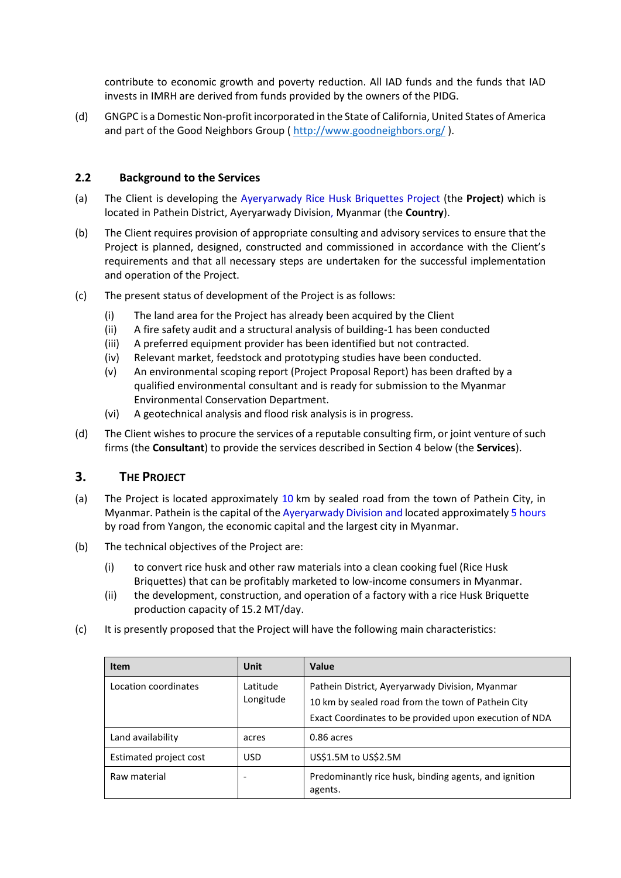contribute to economic growth and poverty reduction. All IAD funds and the funds that IAD invests in IMRH are derived from funds provided by the owners of the PIDG.

(d) GNGPC is a Domestic Non-profit incorporated in the State of California, United States of America and part of the Good Neighbors Group ( <http://www.goodneighbors.org/> ).

#### **2.2 Background to the Services**

- (a) The Client is developing the Ayeryarwady Rice Husk Briquettes Project (the **Project**) which is located in Pathein District, Ayeryarwady Division, Myanmar (the **Country**).
- (b) The Client requires provision of appropriate consulting and advisory services to ensure that the Project is planned, designed, constructed and commissioned in accordance with the Client's requirements and that all necessary steps are undertaken for the successful implementation and operation of the Project.
- (c) The present status of development of the Project is as follows:
	- (i) The land area for the Project has already been acquired by the Client
	- (ii) A fire safety audit and a structural analysis of building-1 has been conducted
	- (iii) A preferred equipment provider has been identified but not contracted.
	- (iv) Relevant market, feedstock and prototyping studies have been conducted.
	- (v) An environmental scoping report (Project Proposal Report) has been drafted by a qualified environmental consultant and is ready for submission to the Myanmar Environmental Conservation Department.
	- (vi) A geotechnical analysis and flood risk analysis is in progress.
- (d) The Client wishes to procure the services of a reputable consulting firm, or joint venture of such firms (the **Consultant**) to provide the services described in Section 4 below (the **Services**).

## **3. THE PROJECT**

- (a) The Project is located approximately 10 km by sealed road from the town of Pathein City, in Myanmar. Pathein is the capital of the Ayeryarwady Division and located approximately 5 hours by road from Yangon, the economic capital and the largest city in Myanmar.
- (b) The technical objectives of the Project are:
	- (i) to convert rice husk and other raw materials into a clean cooking fuel (Rice Husk Briquettes) that can be profitably marketed to low-income consumers in Myanmar.
	- (ii) the development, construction, and operation of a factory with a rice Husk Briquette production capacity of 15.2 MT/day.
- (c) It is presently proposed that the Project will have the following main characteristics:

| <b>Item</b>            | Unit                  | Value                                                                                                                                                           |
|------------------------|-----------------------|-----------------------------------------------------------------------------------------------------------------------------------------------------------------|
| Location coordinates   | Latitude<br>Longitude | Pathein District, Ayeryarwady Division, Myanmar<br>10 km by sealed road from the town of Pathein City<br>Exact Coordinates to be provided upon execution of NDA |
| Land availability      | acres                 | 0.86 acres                                                                                                                                                      |
| Estimated project cost | USD                   | US\$1.5M to US\$2.5M                                                                                                                                            |
| Raw material           | -                     | Predominantly rice husk, binding agents, and ignition<br>agents.                                                                                                |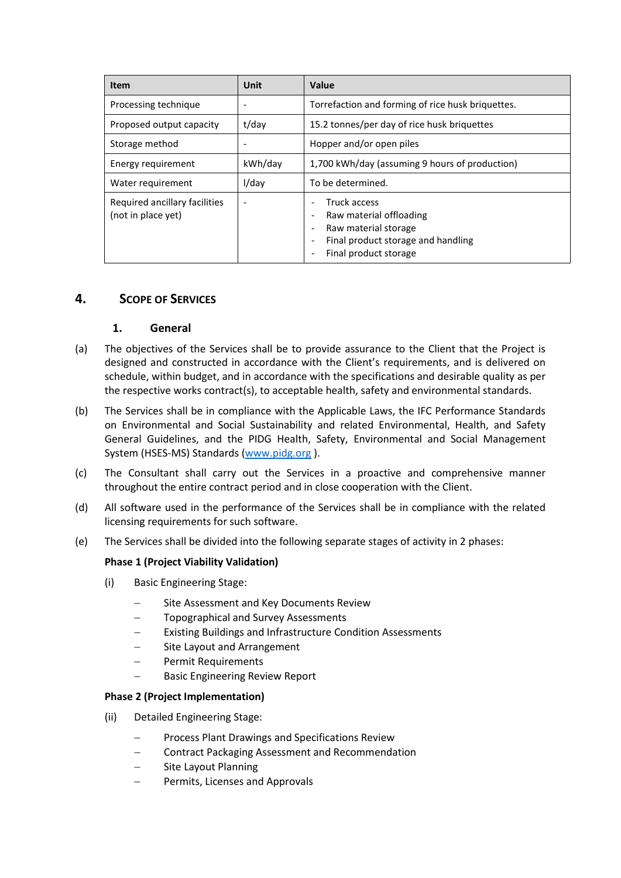| <b>Item</b>                                         | Unit                         | Value                                                                                                                                                                                                              |
|-----------------------------------------------------|------------------------------|--------------------------------------------------------------------------------------------------------------------------------------------------------------------------------------------------------------------|
| Processing technique                                | $\overline{\phantom{a}}$     | Torrefaction and forming of rice husk briquettes.                                                                                                                                                                  |
| Proposed output capacity                            | t/day                        | 15.2 tonnes/per day of rice husk briquettes                                                                                                                                                                        |
| Storage method                                      | $\qquad \qquad \blacksquare$ | Hopper and/or open piles                                                                                                                                                                                           |
| Energy requirement                                  | kWh/day                      | 1,700 kWh/day (assuming 9 hours of production)                                                                                                                                                                     |
| Water requirement                                   | I/dav                        | To be determined.                                                                                                                                                                                                  |
| Required ancillary facilities<br>(not in place yet) | $\overline{\phantom{a}}$     | Truck access<br>Raw material offloading<br>$\overline{\phantom{a}}$<br>Raw material storage<br>$\overline{\phantom{a}}$<br>Final product storage and handling<br>$\overline{\phantom{a}}$<br>Final product storage |

## **4. SCOPE OF SERVICES**

## **1. General**

- (a) The objectives of the Services shall be to provide assurance to the Client that the Project is designed and constructed in accordance with the Client's requirements, and is delivered on schedule, within budget, and in accordance with the specifications and desirable quality as per the respective works contract(s), to acceptable health, safety and environmental standards.
- (b) The Services shall be in compliance with the Applicable Laws, the IFC Performance Standards on Environmental and Social Sustainability and related Environmental, Health, and Safety General Guidelines, and the PIDG Health, Safety, Environmental and Social Management System (HSES-MS) Standards [\(www.pidg.org](http://www.pidg.org/) ).
- (c) The Consultant shall carry out the Services in a proactive and comprehensive manner throughout the entire contract period and in close cooperation with the Client.
- (d) All software used in the performance of the Services shall be in compliance with the related licensing requirements for such software.
- (e) The Services shall be divided into the following separate stages of activity in 2 phases:

## **Phase 1 (Project Viability Validation)**

- (i) Basic Engineering Stage:
	- Site Assessment and Key Documents Review
	- Topographical and Survey Assessments
	- Existing Buildings and Infrastructure Condition Assessments
	- − Site Layout and Arrangement
	- − Permit Requirements
	- Basic Engineering Review Report

## **Phase 2 (Project Implementation)**

- (ii) Detailed Engineering Stage:
	- − Process Plant Drawings and Specifications Review
	- − Contract Packaging Assessment and Recommendation
	- Site Layout Planning
	- − Permits, Licenses and Approvals